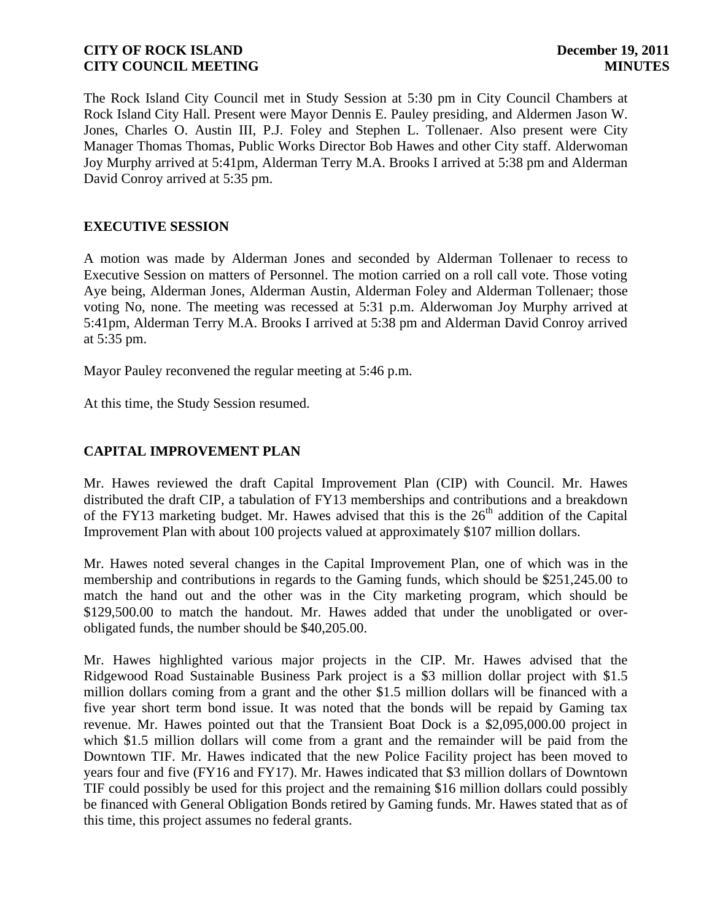The Rock Island City Council met in Study Session at 5:30 pm in City Council Chambers at Rock Island City Hall. Present were Mayor Dennis E. Pauley presiding, and Aldermen Jason W. Jones, Charles O. Austin III, P.J. Foley and Stephen L. Tollenaer. Also present were City Manager Thomas Thomas, Public Works Director Bob Hawes and other City staff. Alderwoman Joy Murphy arrived at 5:41pm, Alderman Terry M.A. Brooks I arrived at 5:38 pm and Alderman David Conroy arrived at 5:35 pm.

## **EXECUTIVE SESSION**

A motion was made by Alderman Jones and seconded by Alderman Tollenaer to recess to Executive Session on matters of Personnel. The motion carried on a roll call vote. Those voting Aye being, Alderman Jones, Alderman Austin, Alderman Foley and Alderman Tollenaer; those voting No, none. The meeting was recessed at 5:31 p.m. Alderwoman Joy Murphy arrived at 5:41pm, Alderman Terry M.A. Brooks I arrived at 5:38 pm and Alderman David Conroy arrived at 5:35 pm.

Mayor Pauley reconvened the regular meeting at 5:46 p.m.

At this time, the Study Session resumed.

# **CAPITAL IMPROVEMENT PLAN**

Mr. Hawes reviewed the draft Capital Improvement Plan (CIP) with Council. Mr. Hawes distributed the draft CIP, a tabulation of FY13 memberships and contributions and a breakdown of the FY13 marketing budget. Mr. Hawes advised that this is the  $26<sup>th</sup>$  addition of the Capital Improvement Plan with about 100 projects valued at approximately \$107 million dollars.

Mr. Hawes noted several changes in the Capital Improvement Plan, one of which was in the membership and contributions in regards to the Gaming funds, which should be \$251,245.00 to match the hand out and the other was in the City marketing program, which should be \$129,500.00 to match the handout. Mr. Hawes added that under the unobligated or overobligated funds, the number should be \$40,205.00.

Mr. Hawes highlighted various major projects in the CIP. Mr. Hawes advised that the Ridgewood Road Sustainable Business Park project is a \$3 million dollar project with \$1.5 million dollars coming from a grant and the other \$1.5 million dollars will be financed with a five year short term bond issue. It was noted that the bonds will be repaid by Gaming tax revenue. Mr. Hawes pointed out that the Transient Boat Dock is a \$2,095,000.00 project in which \$1.5 million dollars will come from a grant and the remainder will be paid from the Downtown TIF. Mr. Hawes indicated that the new Police Facility project has been moved to years four and five (FY16 and FY17). Mr. Hawes indicated that \$3 million dollars of Downtown TIF could possibly be used for this project and the remaining \$16 million dollars could possibly be financed with General Obligation Bonds retired by Gaming funds. Mr. Hawes stated that as of this time, this project assumes no federal grants.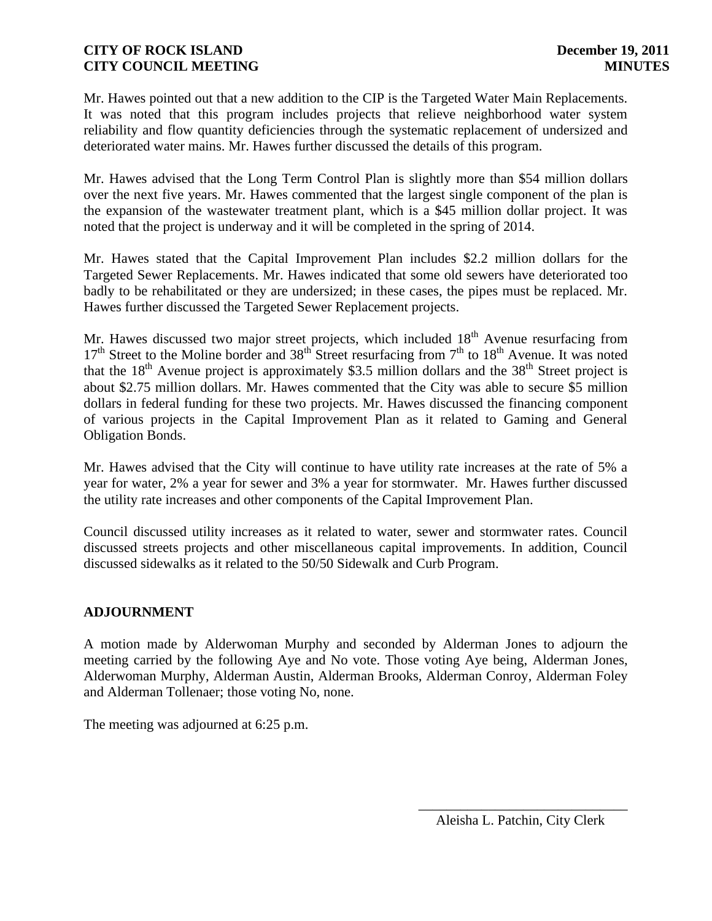Mr. Hawes pointed out that a new addition to the CIP is the Targeted Water Main Replacements. It was noted that this program includes projects that relieve neighborhood water system reliability and flow quantity deficiencies through the systematic replacement of undersized and deteriorated water mains. Mr. Hawes further discussed the details of this program.

Mr. Hawes advised that the Long Term Control Plan is slightly more than \$54 million dollars over the next five years. Mr. Hawes commented that the largest single component of the plan is the expansion of the wastewater treatment plant, which is a \$45 million dollar project. It was noted that the project is underway and it will be completed in the spring of 2014.

Mr. Hawes stated that the Capital Improvement Plan includes \$2.2 million dollars for the Targeted Sewer Replacements. Mr. Hawes indicated that some old sewers have deteriorated too badly to be rehabilitated or they are undersized; in these cases, the pipes must be replaced. Mr. Hawes further discussed the Targeted Sewer Replacement projects.

Mr. Hawes discussed two major street projects, which included  $18<sup>th</sup>$  Avenue resurfacing from  $17<sup>th</sup>$  Street to the Moline border and 38<sup>th</sup> Street resurfacing from  $7<sup>th</sup>$  to  $18<sup>th</sup>$  Avenue. It was noted that the  $18<sup>th</sup>$  Avenue project is approximately \$3.5 million dollars and the 38<sup>th</sup> Street project is about \$2.75 million dollars. Mr. Hawes commented that the City was able to secure \$5 million dollars in federal funding for these two projects. Mr. Hawes discussed the financing component of various projects in the Capital Improvement Plan as it related to Gaming and General Obligation Bonds.

Mr. Hawes advised that the City will continue to have utility rate increases at the rate of 5% a year for water, 2% a year for sewer and 3% a year for stormwater. Mr. Hawes further discussed the utility rate increases and other components of the Capital Improvement Plan.

Council discussed utility increases as it related to water, sewer and stormwater rates. Council discussed streets projects and other miscellaneous capital improvements. In addition, Council discussed sidewalks as it related to the 50/50 Sidewalk and Curb Program.

# **ADJOURNMENT**

A motion made by Alderwoman Murphy and seconded by Alderman Jones to adjourn the meeting carried by the following Aye and No vote. Those voting Aye being, Alderman Jones, Alderwoman Murphy, Alderman Austin, Alderman Brooks, Alderman Conroy, Alderman Foley and Alderman Tollenaer; those voting No, none.

The meeting was adjourned at 6:25 p.m.

\_\_\_\_\_\_\_\_\_\_\_\_\_\_\_\_\_\_\_\_\_\_\_\_\_\_\_\_\_\_ Aleisha L. Patchin, City Clerk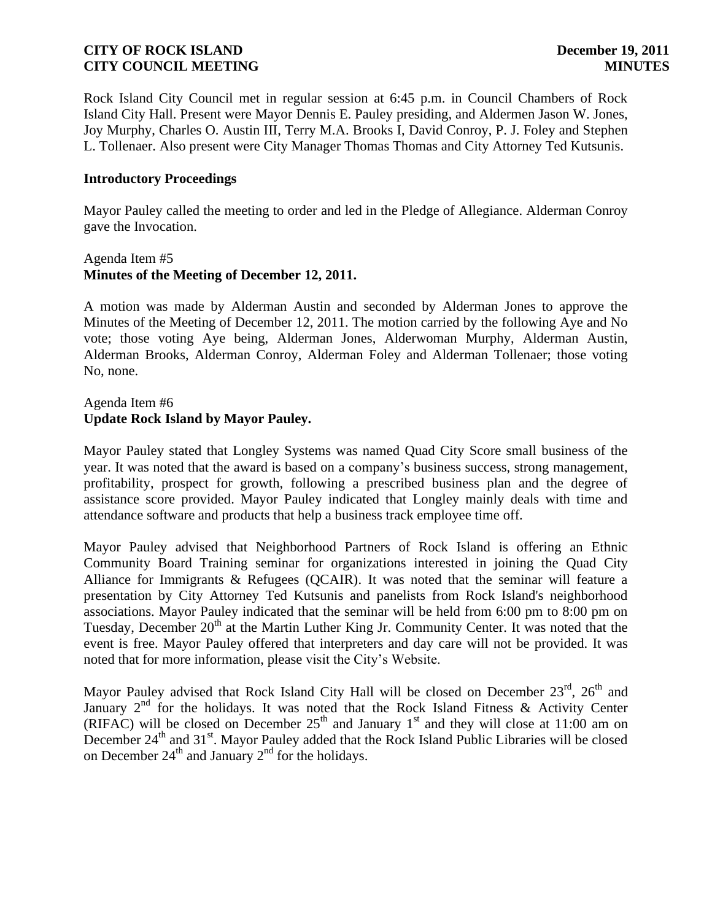Rock Island City Council met in regular session at 6:45 p.m. in Council Chambers of Rock Island City Hall. Present were Mayor Dennis E. Pauley presiding, and Aldermen Jason W. Jones, Joy Murphy, Charles O. Austin III, Terry M.A. Brooks I, David Conroy, P. J. Foley and Stephen L. Tollenaer. Also present were City Manager Thomas Thomas and City Attorney Ted Kutsunis.

### **Introductory Proceedings**

Mayor Pauley called the meeting to order and led in the Pledge of Allegiance. Alderman Conroy gave the Invocation.

### Agenda Item #5 **Minutes of the Meeting of December 12, 2011.**

A motion was made by Alderman Austin and seconded by Alderman Jones to approve the Minutes of the Meeting of December 12, 2011. The motion carried by the following Aye and No vote; those voting Aye being, Alderman Jones, Alderwoman Murphy, Alderman Austin, Alderman Brooks, Alderman Conroy, Alderman Foley and Alderman Tollenaer; those voting No, none.

### Agenda Item #6 **Update Rock Island by Mayor Pauley.**

Mayor Pauley stated that Longley Systems was named Quad City Score small business of the year. It was noted that the award is based on a company's business success, strong management, profitability, prospect for growth, following a prescribed business plan and the degree of assistance score provided. Mayor Pauley indicated that Longley mainly deals with time and attendance software and products that help a business track employee time off.

Mayor Pauley advised that Neighborhood Partners of Rock Island is offering an Ethnic Community Board Training seminar for organizations interested in joining the [Quad City](http://r20.rs6.net/tn.jsp?llr=kjh86ncab&et=1108967579311&s=151&e=001RmU4SmAO9azDMWqBrOrEHkjauBWRLz_-EHILH3g5oncw57SqBLwJVHCgPAuBSL4QfhVnejEN0BKtmLksC7VX4ddZFKP2vGAWM6iABY7jsFkBqzaP-HGY2gFZZr1iv6Ge-GVn6qXNRCc=)  [Alliance for Immigrants & Refugees \(QCAIR\).](http://r20.rs6.net/tn.jsp?llr=kjh86ncab&et=1108967579311&s=151&e=001RmU4SmAO9azDMWqBrOrEHkjauBWRLz_-EHILH3g5oncw57SqBLwJVHCgPAuBSL4QfhVnejEN0BKtmLksC7VX4ddZFKP2vGAWM6iABY7jsFkBqzaP-HGY2gFZZr1iv6Ge-GVn6qXNRCc=) It was noted that the seminar will feature a presentation by City Attorney Ted Kutsunis and panelists from Rock Island's neighborhood associations. Mayor Pauley indicated that the seminar will be held from 6:00 pm to 8:00 pm on Tuesday, December 20<sup>th</sup> at the Martin Luther King Jr. Community Center. It was noted that the event is free. Mayor Pauley offered that interpreters and day care will not be provided. It was noted that for more information, please visit the City's Website.

Mayor Pauley advised that Rock Island City Hall will be closed on December  $23<sup>rd</sup>$ ,  $26<sup>th</sup>$  and January  $2<sup>nd</sup>$  for the holidays. It was noted that the Rock Island Fitness & Activity Center (RIFAC) will be closed on December  $25<sup>th</sup>$  and January 1<sup>st</sup> and they will close at 11:00 am on December 24<sup>th</sup> and 31<sup>st</sup>. Mayor Pauley added that the Rock Island Public Libraries will be closed on December  $24<sup>th</sup>$  and January  $2<sup>nd</sup>$  for the holidays.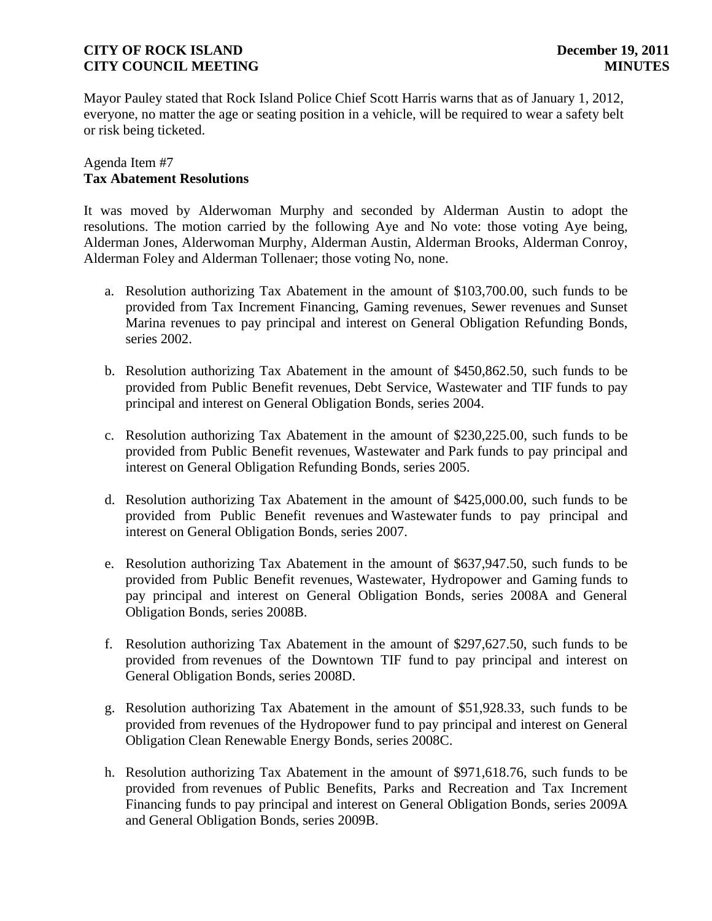Mayor Pauley stated that Rock Island Police Chief Scott Harris warns that as of January 1, 2012, everyone, no matter the age or seating position in a vehicle, will be required to wear a safety belt or risk being ticketed.

### Agenda Item #7 **Tax Abatement Resolutions**

It was moved by Alderwoman Murphy and seconded by Alderman Austin to adopt the resolutions. The motion carried by the following Aye and No vote: those voting Aye being, Alderman Jones, Alderwoman Murphy, Alderman Austin, Alderman Brooks, Alderman Conroy, Alderman Foley and Alderman Tollenaer; those voting No, none.

- a. Resolution authorizing Tax Abatement in the amount of \$103,700.00, such funds to be provided from Tax Increment Financing, Gaming revenues, Sewer revenues and Sunset Marina revenues to pay principal and interest on General Obligation Refunding Bonds, series 2002.
- b. Resolution authorizing Tax Abatement in the amount of \$450,862.50, such funds to be provided from Public Benefit revenues, Debt Service, Wastewater and TIF funds to pay principal and interest on General Obligation Bonds, series 2004.
- c. Resolution authorizing Tax Abatement in the amount of \$230,225.00, such funds to be provided from Public Benefit revenues, Wastewater and Park funds to pay principal and interest on General Obligation Refunding Bonds, series 2005.
- d. Resolution authorizing Tax Abatement in the amount of \$425,000.00, such funds to be provided from Public Benefit revenues and Wastewater funds to pay principal and interest on General Obligation Bonds, series 2007.
- e. Resolution authorizing Tax Abatement in the amount of \$637,947.50, such funds to be provided from Public Benefit revenues, Wastewater, Hydropower and Gaming funds to pay principal and interest on General Obligation Bonds, series 2008A and General Obligation Bonds, series 2008B.
- f. Resolution authorizing Tax Abatement in the amount of \$297,627.50, such funds to be provided from revenues of the Downtown TIF fund to pay principal and interest on General Obligation Bonds, series 2008D.
- g. Resolution authorizing Tax Abatement in the amount of \$51,928.33, such funds to be provided from revenues of the Hydropower fund to pay principal and interest on General Obligation Clean Renewable Energy Bonds, series 2008C.
- h. Resolution authorizing Tax Abatement in the amount of \$971,618.76, such funds to be provided from revenues of Public Benefits, Parks and Recreation and Tax Increment Financing funds to pay principal and interest on General Obligation Bonds, series 2009A and General Obligation Bonds, series 2009B.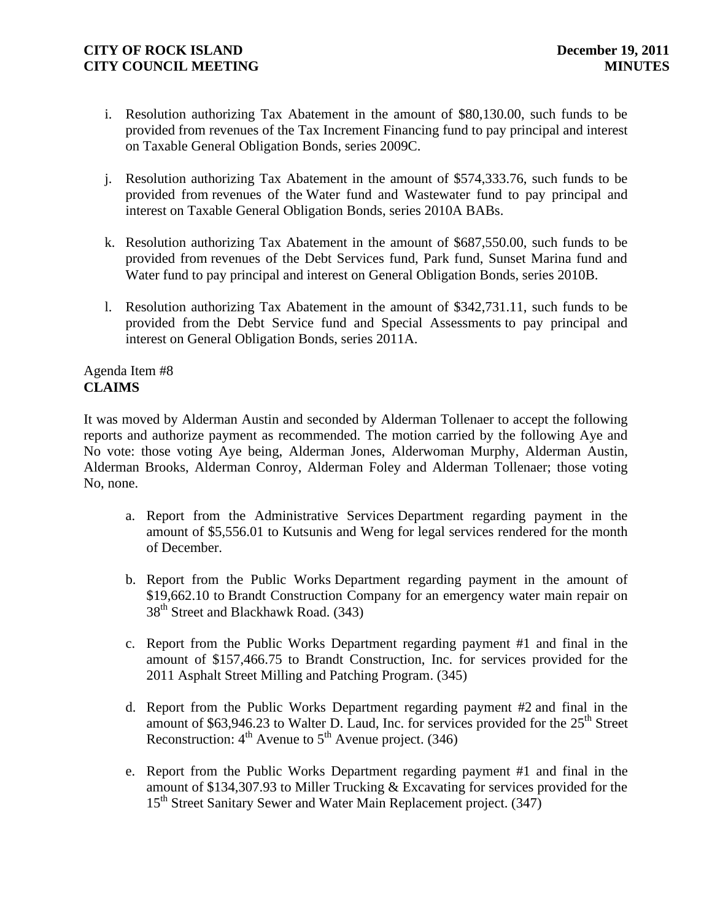- i. Resolution authorizing Tax Abatement in the amount of \$80,130.00, such funds to be provided from revenues of the Tax Increment Financing fund to pay principal and interest on Taxable General Obligation Bonds, series 2009C.
- j. Resolution authorizing Tax Abatement in the amount of \$574,333.76, such funds to be provided from revenues of the Water fund and Wastewater fund to pay principal and interest on Taxable General Obligation Bonds, series 2010A BABs.
- k. Resolution authorizing Tax Abatement in the amount of \$687,550.00, such funds to be provided from revenues of the Debt Services fund, Park fund, Sunset Marina fund and Water fund to pay principal and interest on General Obligation Bonds, series 2010B.
- l. Resolution authorizing Tax Abatement in the amount of \$342,731.11, such funds to be provided from the Debt Service fund and Special Assessments to pay principal and interest on General Obligation Bonds, series 2011A.

### Agenda Item #8 **CLAIMS**

It was moved by Alderman Austin and seconded by Alderman Tollenaer to accept the following reports and authorize payment as recommended. The motion carried by the following Aye and No vote: those voting Aye being, Alderman Jones, Alderwoman Murphy, Alderman Austin, Alderman Brooks, Alderman Conroy, Alderman Foley and Alderman Tollenaer; those voting No, none.

- a. Report from the Administrative Services Department regarding payment in the amount of \$5,556.01 to Kutsunis and Weng for legal services rendered for the month of December.
- b. Report from the Public Works Department regarding payment in the amount of \$19,662.10 to Brandt Construction Company for an emergency water main repair on 38<sup>th</sup> Street and Blackhawk Road. (343)
- c. Report from the Public Works Department regarding payment #1 and final in the amount of \$157,466.75 to Brandt Construction, Inc. for services provided for the 2011 Asphalt Street Milling and Patching Program. (345)
- d. Report from the Public Works Department regarding payment #2 and final in the amount of \$63,946.23 to Walter D. Laud, Inc. for services provided for the  $25<sup>th</sup>$  Street Reconstruction:  $4^{th}$  Avenue to  $5^{th}$  Avenue project. (346)
- e. Report from the Public Works Department regarding payment #1 and final in the amount of \$134,307.93 to Miller Trucking & Excavating for services provided for the 15<sup>th</sup> Street Sanitary Sewer and Water Main Replacement project. (347)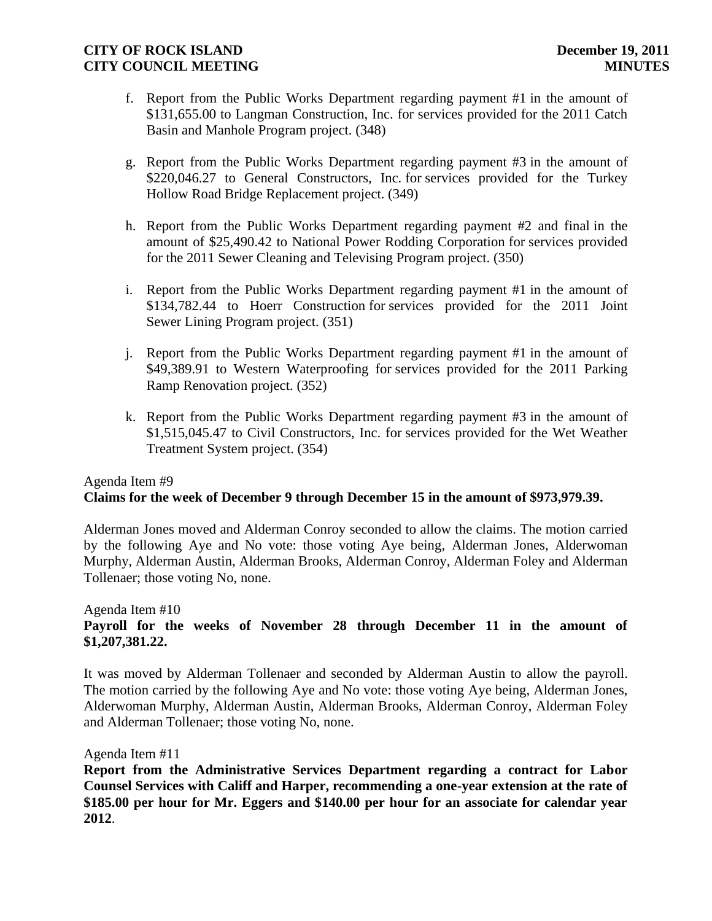- f. Report from the Public Works Department regarding payment #1 in the amount of \$131,655.00 to Langman Construction, Inc. for services provided for the 2011 Catch Basin and Manhole Program project. (348)
- g. Report from the Public Works Department regarding payment #3 in the amount of \$220,046.27 to General Constructors, Inc. for services provided for the Turkey Hollow Road Bridge Replacement project. (349)
- h. Report from the Public Works Department regarding payment #2 and final in the amount of \$25,490.42 to National Power Rodding Corporation for services provided for the 2011 Sewer Cleaning and Televising Program project. (350)
- i. Report from the Public Works Department regarding payment #1 in the amount of \$134,782.44 to Hoerr Construction for services provided for the 2011 Joint Sewer Lining Program project. (351)
- j. Report from the Public Works Department regarding payment #1 in the amount of \$49,389.91 to Western Waterproofing for services provided for the 2011 Parking Ramp Renovation project. (352)
- k. Report from the Public Works Department regarding payment #3 in the amount of \$1,515,045.47 to Civil Constructors, Inc. for services provided for the Wet Weather Treatment System project. (354)

#### Agenda Item #9  **Claims for the week of December 9 through December 15 in the amount of \$973,979.39.**

Alderman Jones moved and Alderman Conroy seconded to allow the claims. The motion carried by the following Aye and No vote: those voting Aye being, Alderman Jones, Alderwoman Murphy, Alderman Austin, Alderman Brooks, Alderman Conroy, Alderman Foley and Alderman Tollenaer; those voting No, none.

## Agenda Item #10 **Payroll for the weeks of November 28 through December 11 in the amount of \$1,207,381.22.**

It was moved by Alderman Tollenaer and seconded by Alderman Austin to allow the payroll. The motion carried by the following Aye and No vote: those voting Aye being, Alderman Jones, Alderwoman Murphy, Alderman Austin, Alderman Brooks, Alderman Conroy, Alderman Foley and Alderman Tollenaer; those voting No, none.

### Agenda Item #11

**Report from the Administrative Services Department regarding a contract for Labor Counsel Services with Califf and Harper, recommending a one-year extension at the rate of \$185.00 per hour for Mr. Eggers and \$140.00 per hour for an associate for calendar year 2012**.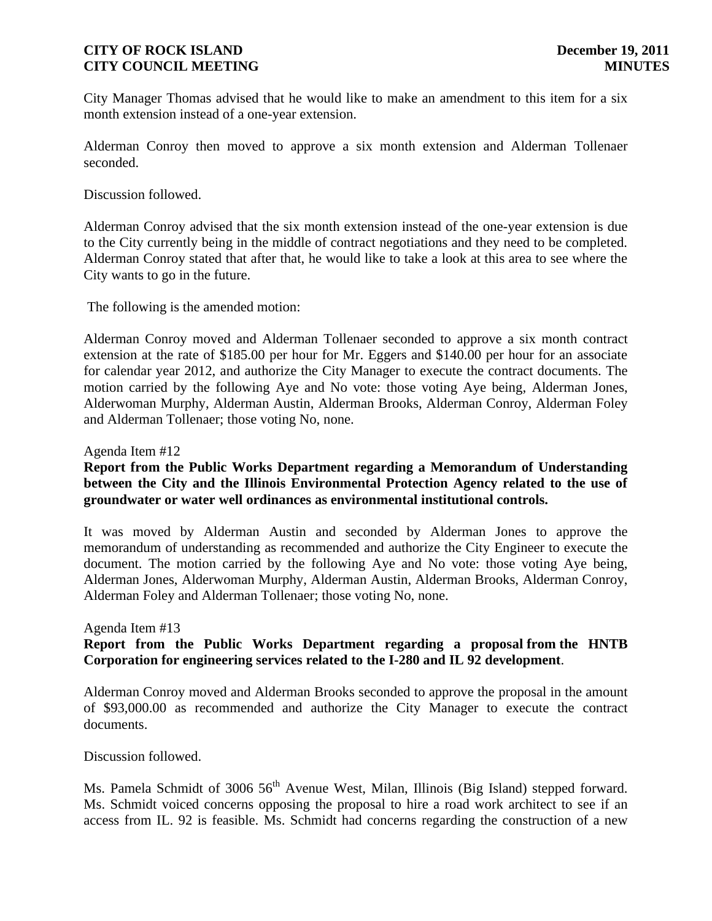City Manager Thomas advised that he would like to make an amendment to this item for a six month extension instead of a one-year extension.

Alderman Conroy then moved to approve a six month extension and Alderman Tollenaer seconded.

Discussion followed.

Alderman Conroy advised that the six month extension instead of the one-year extension is due to the City currently being in the middle of contract negotiations and they need to be completed. Alderman Conroy stated that after that, he would like to take a look at this area to see where the City wants to go in the future.

The following is the amended motion:

Alderman Conroy moved and Alderman Tollenaer seconded to approve a six month contract extension at the rate of \$185.00 per hour for Mr. Eggers and \$140.00 per hour for an associate for calendar year 2012, and authorize the City Manager to execute the contract documents. The motion carried by the following Aye and No vote: those voting Aye being, Alderman Jones, Alderwoman Murphy, Alderman Austin, Alderman Brooks, Alderman Conroy, Alderman Foley and Alderman Tollenaer; those voting No, none.

Agenda Item #12

# **Report from the Public Works Department regarding a Memorandum of Understanding between the City and the Illinois Environmental Protection Agency related to the use of groundwater or water well ordinances as environmental institutional controls.**

It was moved by Alderman Austin and seconded by Alderman Jones to approve the memorandum of understanding as recommended and authorize the City Engineer to execute the document. The motion carried by the following Aye and No vote: those voting Aye being, Alderman Jones, Alderwoman Murphy, Alderman Austin, Alderman Brooks, Alderman Conroy, Alderman Foley and Alderman Tollenaer; those voting No, none.

### Agenda Item #13 **Report from the Public Works Department regarding a proposal from the HNTB Corporation for engineering services related to the I-280 and IL 92 development**.

Alderman Conroy moved and Alderman Brooks seconded to approve the proposal in the amount of \$93,000.00 as recommended and authorize the City Manager to execute the contract documents.

Discussion followed.

Ms. Pamela Schmidt of 3006  $56<sup>th</sup>$  Avenue West, Milan, Illinois (Big Island) stepped forward. Ms. Schmidt voiced concerns opposing the proposal to hire a road work architect to see if an access from IL. 92 is feasible. Ms. Schmidt had concerns regarding the construction of a new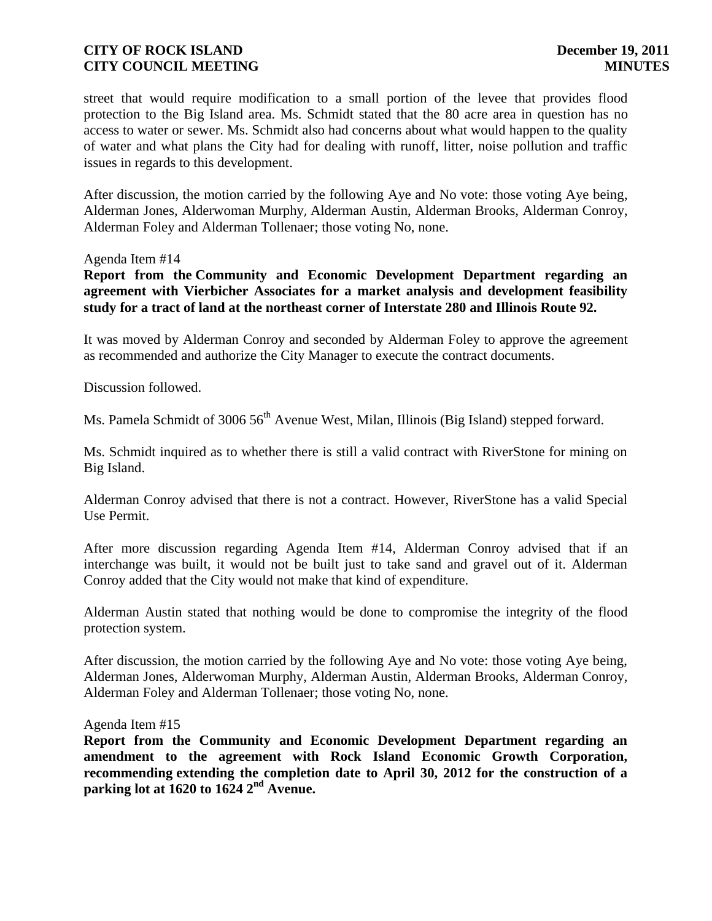street that would require modification to a small portion of the levee that provides flood protection to the Big Island area. Ms. Schmidt stated that the 80 acre area in question has no access to water or sewer. Ms. Schmidt also had concerns about what would happen to the quality of water and what plans the City had for dealing with runoff, litter, noise pollution and traffic issues in regards to this development.

After discussion, the motion carried by the following Aye and No vote: those voting Aye being, Alderman Jones, Alderwoman Murphy, Alderman Austin, Alderman Brooks, Alderman Conroy, Alderman Foley and Alderman Tollenaer; those voting No, none.

#### Agenda Item #14

**Report from the Community and Economic Development Department regarding an agreement with Vierbicher Associates for a market analysis and development feasibility study for a tract of land at the northeast corner of Interstate 280 and Illinois Route 92.**

It was moved by Alderman Conroy and seconded by Alderman Foley to approve the agreement as recommended and authorize the City Manager to execute the contract documents.

Discussion followed.

Ms. Pamela Schmidt of 3006 56<sup>th</sup> Avenue West, Milan, Illinois (Big Island) stepped forward.

Ms. Schmidt inquired as to whether there is still a valid contract with RiverStone for mining on Big Island.

Alderman Conroy advised that there is not a contract. However, RiverStone has a valid Special Use Permit.

After more discussion regarding Agenda Item #14, Alderman Conroy advised that if an interchange was built, it would not be built just to take sand and gravel out of it. Alderman Conroy added that the City would not make that kind of expenditure.

Alderman Austin stated that nothing would be done to compromise the integrity of the flood protection system.

After discussion, the motion carried by the following Aye and No vote: those voting Aye being, Alderman Jones, Alderwoman Murphy, Alderman Austin, Alderman Brooks, Alderman Conroy, Alderman Foley and Alderman Tollenaer; those voting No, none.

#### Agenda Item #15

**Report from the Community and Economic Development Department regarding an amendment to the agreement with Rock Island Economic Growth Corporation, recommending extending the completion date to April 30, 2012 for the construction of a parking lot at 1620 to 1624 2nd Avenue.**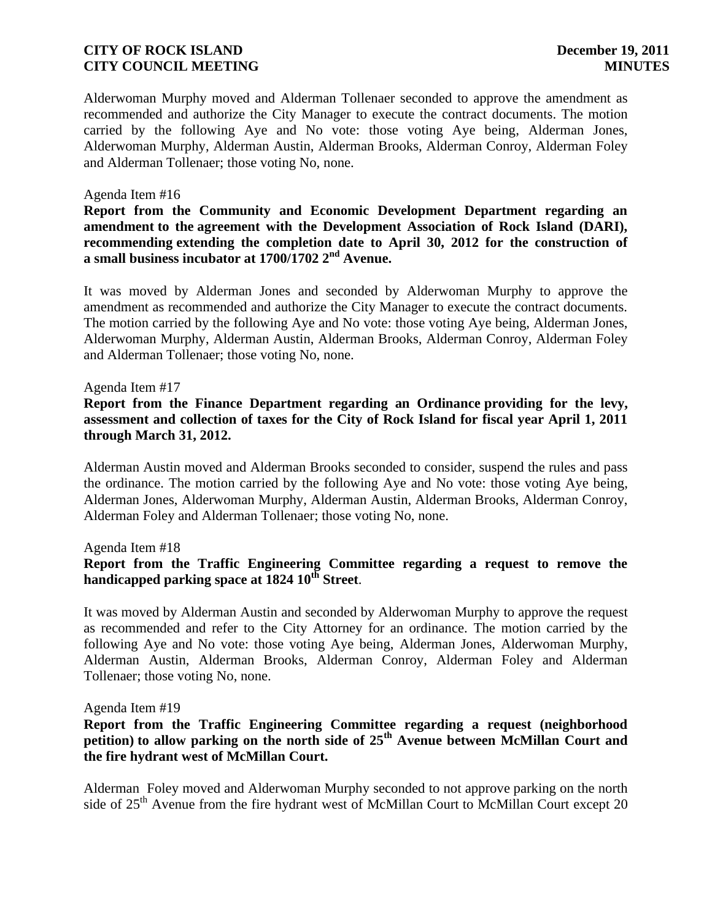Alderwoman Murphy moved and Alderman Tollenaer seconded to approve the amendment as recommended and authorize the City Manager to execute the contract documents. The motion carried by the following Aye and No vote: those voting Aye being, Alderman Jones, Alderwoman Murphy, Alderman Austin, Alderman Brooks, Alderman Conroy, Alderman Foley and Alderman Tollenaer; those voting No, none.

### Agenda Item #16

**Report from the Community and Economic Development Department regarding an amendment to the agreement with the Development Association of Rock Island (DARI), recommending extending the completion date to April 30, 2012 for the construction of a small business incubator at 1700/1702 2nd Avenue.**

It was moved by Alderman Jones and seconded by Alderwoman Murphy to approve the amendment as recommended and authorize the City Manager to execute the contract documents. The motion carried by the following Aye and No vote: those voting Aye being, Alderman Jones, Alderwoman Murphy, Alderman Austin, Alderman Brooks, Alderman Conroy, Alderman Foley and Alderman Tollenaer; those voting No, none.

#### Agenda Item #17

**Report from the Finance Department regarding an Ordinance providing for the levy, assessment and collection of taxes for the City of Rock Island for fiscal year April 1, 2011 through March 31, 2012.** 

Alderman Austin moved and Alderman Brooks seconded to consider, suspend the rules and pass the ordinance. The motion carried by the following Aye and No vote: those voting Aye being, Alderman Jones, Alderwoman Murphy, Alderman Austin, Alderman Brooks, Alderman Conroy, Alderman Foley and Alderman Tollenaer; those voting No, none.

#### Agenda Item #18

## **Report from the Traffic Engineering Committee regarding a request to remove the handicapped parking space at 1824 10th Street**.

It was moved by Alderman Austin and seconded by Alderwoman Murphy to approve the request as recommended and refer to the City Attorney for an ordinance. The motion carried by the following Aye and No vote: those voting Aye being, Alderman Jones, Alderwoman Murphy, Alderman Austin, Alderman Brooks, Alderman Conroy, Alderman Foley and Alderman Tollenaer; those voting No, none.

#### Agenda Item #19

### **Report from the Traffic Engineering Committee regarding a request (neighborhood petition) to allow parking on the north side of 25th Avenue between McMillan Court and the fire hydrant west of McMillan Court.**

Alderman Foley moved and Alderwoman Murphy seconded to not approve parking on the north side of  $25<sup>th</sup>$  Avenue from the fire hydrant west of McMillan Court to McMillan Court except 20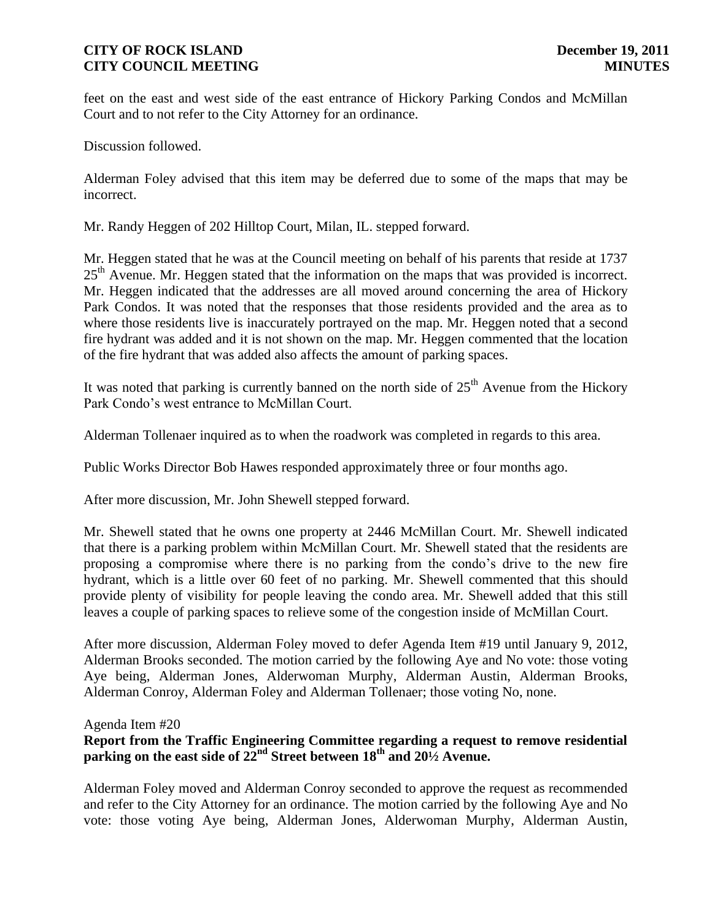feet on the east and west side of the east entrance of Hickory Parking Condos and McMillan Court and to not refer to the City Attorney for an ordinance.

Discussion followed.

Alderman Foley advised that this item may be deferred due to some of the maps that may be incorrect.

Mr. Randy Heggen of 202 Hilltop Court, Milan, IL. stepped forward.

Mr. Heggen stated that he was at the Council meeting on behalf of his parents that reside at 1737  $25<sup>th</sup>$  Avenue. Mr. Heggen stated that the information on the maps that was provided is incorrect. Mr. Heggen indicated that the addresses are all moved around concerning the area of Hickory Park Condos. It was noted that the responses that those residents provided and the area as to where those residents live is inaccurately portrayed on the map. Mr. Heggen noted that a second fire hydrant was added and it is not shown on the map. Mr. Heggen commented that the location of the fire hydrant that was added also affects the amount of parking spaces.

It was noted that parking is currently banned on the north side of  $25<sup>th</sup>$  Avenue from the Hickory Park Condo's west entrance to McMillan Court.

Alderman Tollenaer inquired as to when the roadwork was completed in regards to this area.

Public Works Director Bob Hawes responded approximately three or four months ago.

After more discussion, Mr. John Shewell stepped forward.

Mr. Shewell stated that he owns one property at 2446 McMillan Court. Mr. Shewell indicated that there is a parking problem within McMillan Court. Mr. Shewell stated that the residents are proposing a compromise where there is no parking from the condo's drive to the new fire hydrant, which is a little over 60 feet of no parking. Mr. Shewell commented that this should provide plenty of visibility for people leaving the condo area. Mr. Shewell added that this still leaves a couple of parking spaces to relieve some of the congestion inside of McMillan Court.

After more discussion, Alderman Foley moved to defer Agenda Item #19 until January 9, 2012, Alderman Brooks seconded. The motion carried by the following Aye and No vote: those voting Aye being, Alderman Jones, Alderwoman Murphy, Alderman Austin, Alderman Brooks, Alderman Conroy, Alderman Foley and Alderman Tollenaer; those voting No, none.

#### Agenda Item #20

# **Report from the Traffic Engineering Committee regarding a request to remove residential parking on the east side of 22nd Street between 18th and 20½ Avenue.**

Alderman Foley moved and Alderman Conroy seconded to approve the request as recommended and refer to the City Attorney for an ordinance. The motion carried by the following Aye and No vote: those voting Aye being, Alderman Jones, Alderwoman Murphy, Alderman Austin,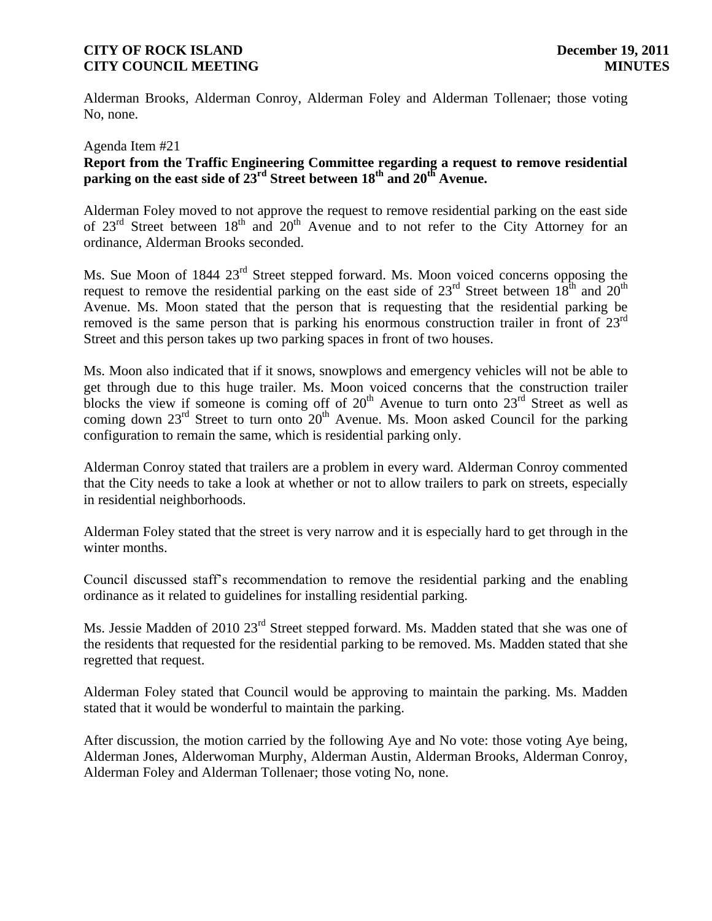Alderman Brooks, Alderman Conroy, Alderman Foley and Alderman Tollenaer; those voting No, none.

#### Agenda Item #21

# **Report from the Traffic Engineering Committee regarding a request to remove residential parking on the east side of 23rd Street between 18th and 20th Avenue.**

Alderman Foley moved to not approve the request to remove residential parking on the east side of  $23<sup>rd</sup>$  Street between  $18<sup>th</sup>$  and  $20<sup>th</sup>$  Avenue and to not refer to the City Attorney for an ordinance, Alderman Brooks seconded.

Ms. Sue Moon of 1844 23<sup>rd</sup> Street stepped forward. Ms. Moon voiced concerns opposing the request to remove the residential parking on the east side of  $23^{rd}$  Street between  $18^{th}$  and  $20^{th}$ Avenue. Ms. Moon stated that the person that is requesting that the residential parking be removed is the same person that is parking his enormous construction trailer in front of  $23<sup>rd</sup>$ Street and this person takes up two parking spaces in front of two houses.

Ms. Moon also indicated that if it snows, snowplows and emergency vehicles will not be able to get through due to this huge trailer. Ms. Moon voiced concerns that the construction trailer blocks the view if someone is coming off of  $20<sup>th</sup>$  Avenue to turn onto  $23<sup>rd</sup>$  Street as well as coming down  $23<sup>rd</sup>$  Street to turn onto  $20<sup>th</sup>$  Avenue. Ms. Moon asked Council for the parking configuration to remain the same, which is residential parking only.

Alderman Conroy stated that trailers are a problem in every ward. Alderman Conroy commented that the City needs to take a look at whether or not to allow trailers to park on streets, especially in residential neighborhoods.

Alderman Foley stated that the street is very narrow and it is especially hard to get through in the winter months.

Council discussed staff's recommendation to remove the residential parking and the enabling ordinance as it related to guidelines for installing residential parking.

Ms. Jessie Madden of 2010 23<sup>rd</sup> Street stepped forward. Ms. Madden stated that she was one of the residents that requested for the residential parking to be removed. Ms. Madden stated that she regretted that request.

Alderman Foley stated that Council would be approving to maintain the parking. Ms. Madden stated that it would be wonderful to maintain the parking.

After discussion, the motion carried by the following Aye and No vote: those voting Aye being, Alderman Jones, Alderwoman Murphy, Alderman Austin, Alderman Brooks, Alderman Conroy, Alderman Foley and Alderman Tollenaer; those voting No, none.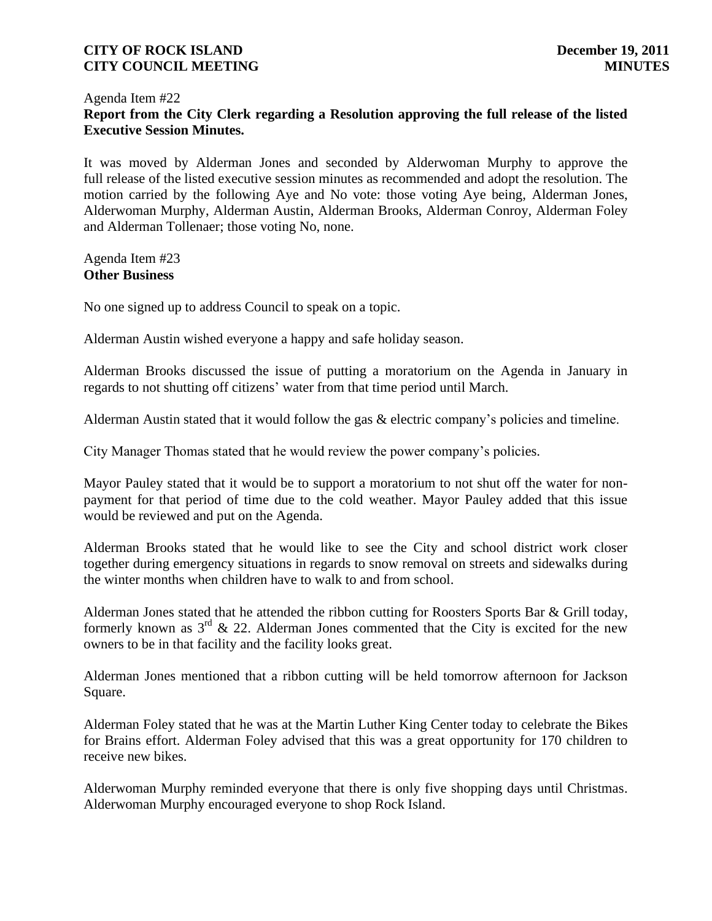### Agenda Item #22 **Report from the City Clerk regarding a Resolution approving the full release of the listed Executive Session Minutes.**

It was moved by Alderman Jones and seconded by Alderwoman Murphy to approve the full release of the listed executive session minutes as recommended and adopt the resolution. The motion carried by the following Aye and No vote: those voting Aye being, Alderman Jones, Alderwoman Murphy, Alderman Austin, Alderman Brooks, Alderman Conroy, Alderman Foley and Alderman Tollenaer; those voting No, none.

Agenda Item #23 **Other Business**

No one signed up to address Council to speak on a topic.

Alderman Austin wished everyone a happy and safe holiday season.

Alderman Brooks discussed the issue of putting a moratorium on the Agenda in January in regards to not shutting off citizens' water from that time period until March.

Alderman Austin stated that it would follow the gas & electric company's policies and timeline.

City Manager Thomas stated that he would review the power company's policies.

Mayor Pauley stated that it would be to support a moratorium to not shut off the water for nonpayment for that period of time due to the cold weather. Mayor Pauley added that this issue would be reviewed and put on the Agenda.

Alderman Brooks stated that he would like to see the City and school district work closer together during emergency situations in regards to snow removal on streets and sidewalks during the winter months when children have to walk to and from school.

Alderman Jones stated that he attended the ribbon cutting for Roosters Sports Bar & Grill today, formerly known as  $3<sup>rd</sup>$  & 22. Alderman Jones commented that the City is excited for the new owners to be in that facility and the facility looks great.

Alderman Jones mentioned that a ribbon cutting will be held tomorrow afternoon for Jackson Square.

Alderman Foley stated that he was at the Martin Luther King Center today to celebrate the Bikes for Brains effort. Alderman Foley advised that this was a great opportunity for 170 children to receive new bikes.

Alderwoman Murphy reminded everyone that there is only five shopping days until Christmas. Alderwoman Murphy encouraged everyone to shop Rock Island.